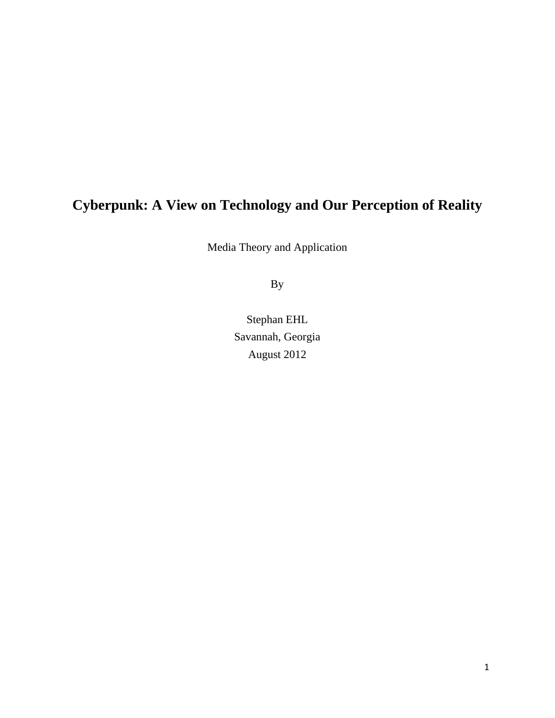# **Cyberpunk: A View on Technology and Our Perception of Reality**

Media Theory and Application

By

Stephan EHL Savannah, Georgia August 2012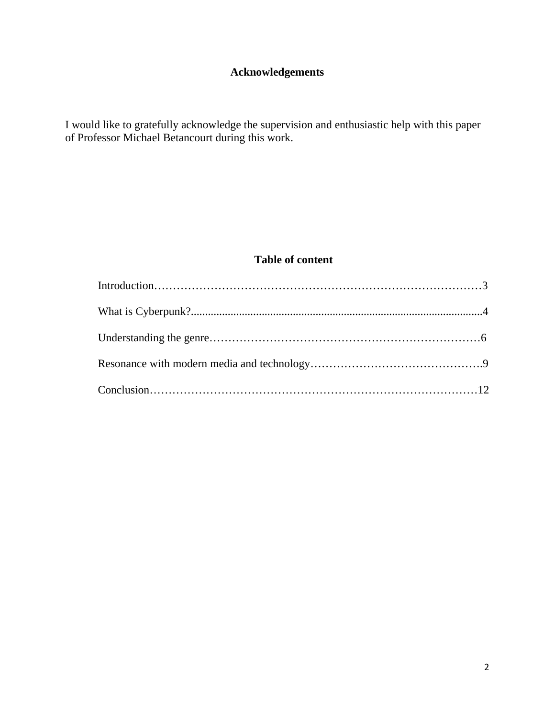# **Acknowledgements**

I would like to gratefully acknowledge the supervision and enthusiastic help with this paper of Professor Michael Betancourt during this work.

# **Table of content**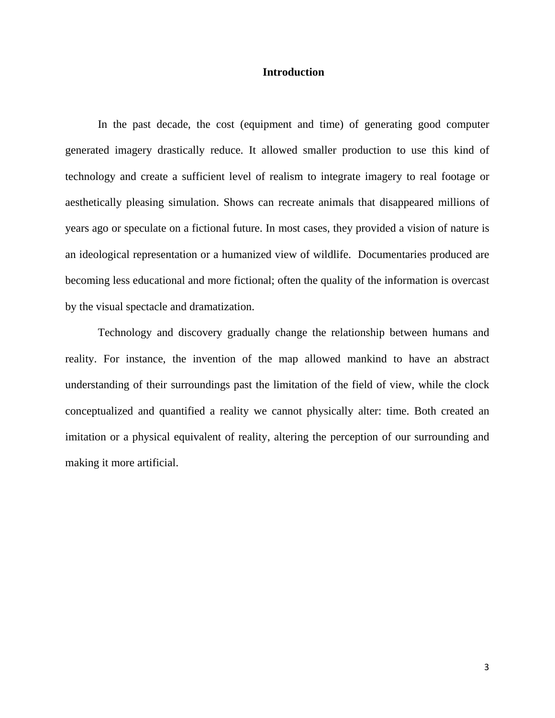#### **Introduction**

In the past decade, the cost (equipment and time) of generating good computer generated imagery drastically reduce. It allowed smaller production to use this kind of technology and create a sufficient level of realism to integrate imagery to real footage or aesthetically pleasing simulation. Shows can recreate animals that disappeared millions of years ago or speculate on a fictional future. In most cases, they provided a vision of nature is an ideological representation or a humanized view of wildlife. Documentaries produced are becoming less educational and more fictional; often the quality of the information is overcast by the visual spectacle and dramatization.

Technology and discovery gradually change the relationship between humans and reality. For instance, the invention of the map allowed mankind to have an abstract understanding of their surroundings past the limitation of the field of view, while the clock conceptualized and quantified a reality we cannot physically alter: time. Both created an imitation or a physical equivalent of reality, altering the perception of our surrounding and making it more artificial.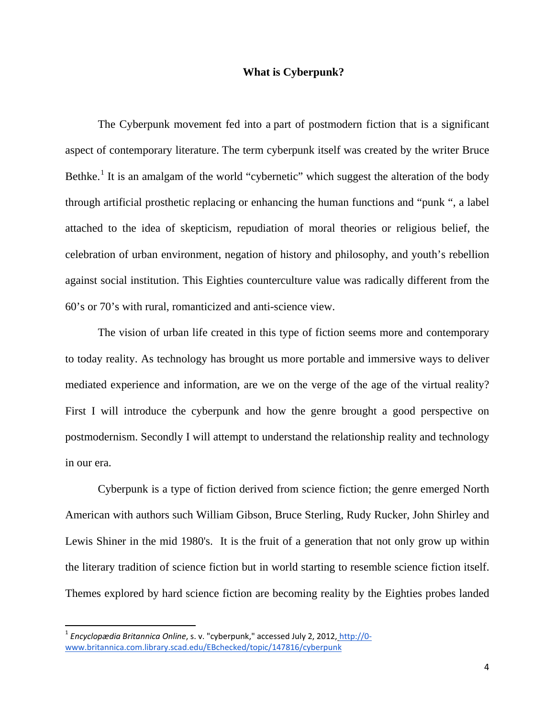# **What is Cyberpunk?**

The Cyberpunk movement fed into a part of postmodern fiction that is a significant aspect of contemporary literature. The term cyberpunk itself was created by the writer Bruce Bethke.<sup>[1](#page-3-0)</sup> It is an amalgam of the world "cybernetic" which suggest the alteration of the body through artificial prosthetic replacing or enhancing the human functions and "punk ", a label attached to the idea of skepticism, repudiation of moral theories or religious belief, the celebration of urban environment, negation of history and philosophy, and youth's rebellion against social institution. This Eighties counterculture value was radically different from the 60's or 70's with rural, romanticized and anti-science view.

The vision of urban life created in this type of fiction seems more and contemporary to today reality. As technology has brought us more portable and immersive ways to deliver mediated experience and information, are we on the verge of the age of the virtual reality? First I will introduce the cyberpunk and how the genre brought a good perspective on postmodernism. Secondly I will attempt to understand the relationship reality and technology in our era.

Cyberpunk is a type of fiction derived from science fiction; the genre emerged North American with authors such William Gibson, Bruce Sterling, Rudy Rucker, John Shirley and Lewis Shiner in the mid 1980's. It is the fruit of a generation that not only grow up within the literary tradition of science fiction but in world starting to resemble science fiction itself. Themes explored by hard science fiction are becoming reality by the Eighties probes landed

<span id="page-3-0"></span> <sup>1</sup> *Encyclopædia Britannica Online*, s. v. "cyberpunk," accessed July 2, 2012, [http://0](http://0-www.britannica.com.library.scad.edu/EBchecked/topic/147816/cyberpunk) [www.britannica.com.library.scad.edu/EBchecked/topic/147816/cyberpunk](http://0-www.britannica.com.library.scad.edu/EBchecked/topic/147816/cyberpunk)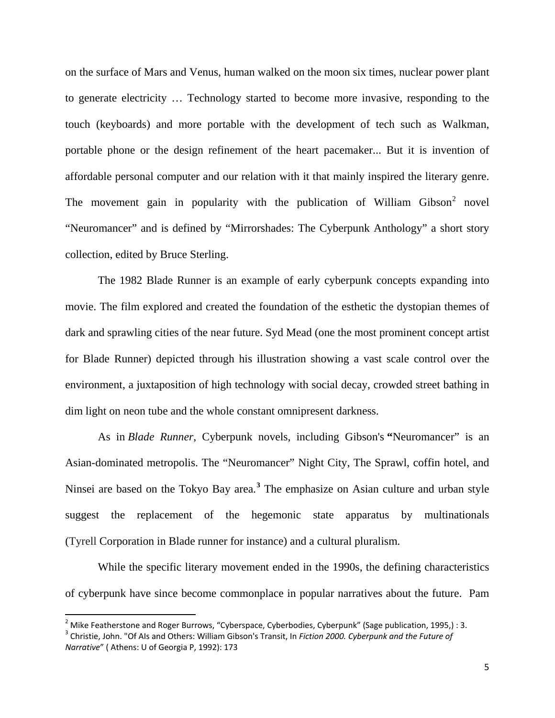on the surface of Mars and Venus, human walked on the moon six times, nuclear power plant to generate electricity … Technology started to become more invasive, responding to the touch (keyboards) and more portable with the development of tech such as Walkman, portable phone or the design refinement of the heart pacemaker... But it is invention of affordable personal computer and our relation with it that mainly inspired the literary genre. The movement gain in popularity with the publication of William Gibson<sup>[2](#page-4-0)</sup> novel "Neuromancer" and is defined by "Mirrorshades: The Cyberpunk Anthology" a short story collection, edited by Bruce Sterling.

The 1982 Blade Runner is an example of early cyberpunk concepts expanding into movie. The film explored and created the foundation of the esthetic the dystopian themes of dark and sprawling cities of the near future. Syd Mead (one the most prominent concept artist for Blade Runner) depicted through his illustration showing a vast scale control over the environment, a juxtaposition of high technology with social decay, crowded street bathing in dim light on neon tube and the whole constant omnipresent darkness.

As in *Blade Runner*, Cyberpunk novels, including Gibson's **"**Neuromancer" is an Asian-dominated metropolis. The "Neuromancer" Night City, The Sprawl, coffin hotel, and Ninsei are based on the Tokyo Bay area.**[3](#page-4-1)** The emphasize on Asian culture and urban style suggest the replacement of the hegemonic state apparatus by multinationals (Tyrell Corporation in Blade runner for instance) and a cultural pluralism.

While the specific literary movement ended in the 1990s, the defining characteristics of cyberpunk have since become commonplace in popular narratives about the future. Pam

<span id="page-4-0"></span><sup>&</sup>lt;sup>2</sup> Mike Featherstone and Roger Burrows, "Cyberspace, Cyberbodies, Cyberpunk" (Sage publication, 1995,) : 3.

<span id="page-4-1"></span><sup>3</sup> Christie, John. "Of AIs and Others: William Gibson's Transit, In *Fiction 2000. Cyberpunk and the Future of Narrative*" ( Athens: U of Georgia P, 1992): 173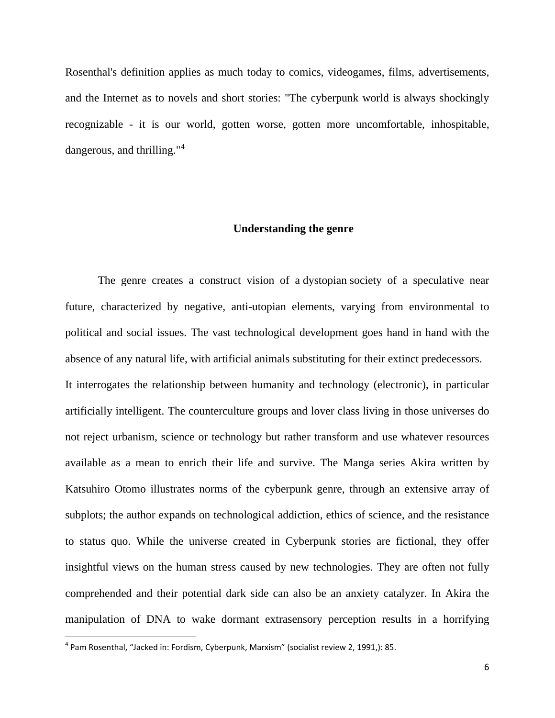Rosenthal's definition applies as much today to comics, videogames, films, advertisements, and the Internet as to novels and short stories: "The cyberpunk world is always shockingly recognizable - it is our world, gotten worse, gotten more uncomfortable, inhospitable, dangerous, and thrilling."<sup>[4](#page-5-0)</sup>

#### **Understanding the genre**

The genre creates a construct vision of a dystopian society of a speculative near future, characterized by negative, anti-utopian elements, varying from environmental to political and social issues. The vast technological development goes hand in hand with the absence of any natural life, with artificial animals substituting for their extinct predecessors. It interrogates the relationship between humanity and technology (electronic), in particular artificially intelligent. The counterculture groups and lover class living in those universes do not reject urbanism, science or technology but rather transform and use whatever resources available as a mean to enrich their life and survive. The Manga series Akira written by Katsuhiro Otomo illustrates norms of the cyberpunk genre, through an extensive array of subplots; the author expands on technological addiction, ethics of science, and the resistance to status quo. While the universe created in Cyberpunk stories are fictional, they offer insightful views on the human stress caused by new technologies. They are often not fully comprehended and their potential dark side can also be an anxiety catalyzer. In Akira the manipulation of DNA to wake dormant extrasensory perception results in a horrifying

<span id="page-5-0"></span> <sup>4</sup> Pam Rosenthal, "Jacked in: Fordism, Cyberpunk, Marxism" (socialist review 2, 1991,): 85.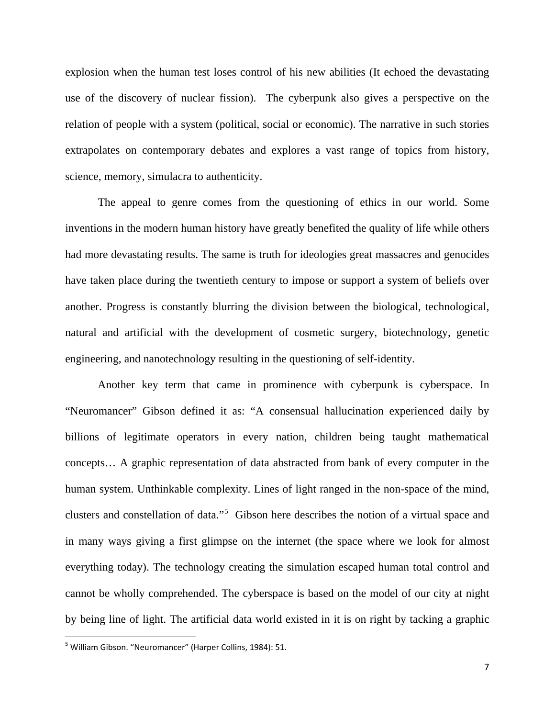explosion when the human test loses control of his new abilities (It echoed the devastating use of the discovery of nuclear fission). The cyberpunk also gives a perspective on the relation of people with a system (political, social or economic). The narrative in such stories extrapolates on contemporary debates and explores a vast range of topics from history, science, memory, simulacra to authenticity.

The appeal to genre comes from the questioning of ethics in our world. Some inventions in the modern human history have greatly benefited the quality of life while others had more devastating results. The same is truth for ideologies great massacres and genocides have taken place during the twentieth century to impose or support a system of beliefs over another. Progress is constantly blurring the division between the biological, technological, natural and artificial with the development of cosmetic surgery, biotechnology, genetic engineering, and nanotechnology resulting in the questioning of self-identity.

Another key term that came in prominence with cyberpunk is cyberspace. In "Neuromancer" Gibson defined it as: "A consensual hallucination experienced daily by billions of legitimate operators in every nation, children being taught mathematical concepts… A graphic representation of data abstracted from bank of every computer in the human system. Unthinkable complexity. Lines of light ranged in the non-space of the mind, clusters and constellation of data."<sup>[5](#page-6-0)</sup> Gibson here describes the notion of a virtual space and in many ways giving a first glimpse on the internet (the space where we look for almost everything today). The technology creating the simulation escaped human total control and cannot be wholly comprehended. The cyberspace is based on the model of our city at night by being line of light. The artificial data world existed in it is on right by tacking a graphic

<span id="page-6-0"></span><sup>&</sup>lt;sup>5</sup> William Gibson. "Neuromancer" (Harper Collins, 1984): 51.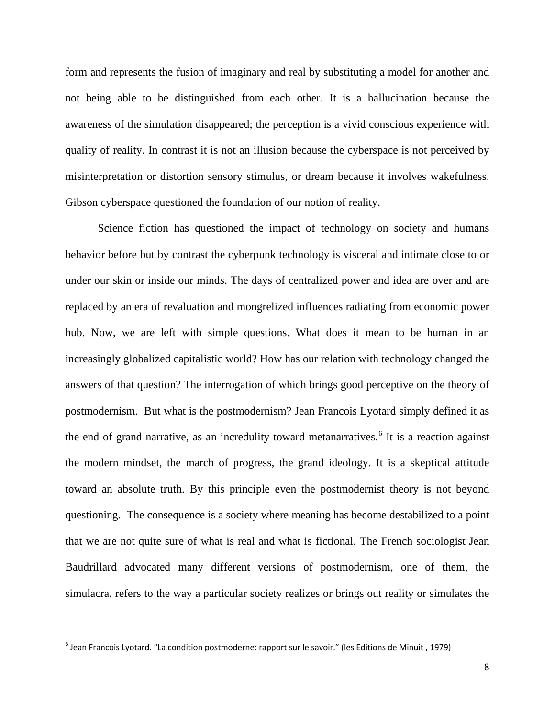form and represents the fusion of imaginary and real by substituting a model for another and not being able to be distinguished from each other. It is a hallucination because the awareness of the simulation disappeared; the perception is a vivid conscious experience with quality of reality. In contrast it is not an illusion because the cyberspace is not perceived by misinterpretation or distortion sensory stimulus, or dream because it involves wakefulness. Gibson cyberspace questioned the foundation of our notion of reality.

Science fiction has questioned the impact of technology on society and humans behavior before but by contrast the cyberpunk technology is visceral and intimate close to or under our skin or inside our minds. The days of centralized power and idea are over and are replaced by an era of revaluation and mongrelized influences radiating from economic power hub. Now, we are left with simple questions. What does it mean to be human in an increasingly globalized capitalistic world? How has our relation with technology changed the answers of that question? The interrogation of which brings good perceptive on the theory of postmodernism. But what is the postmodernism? Jean Francois Lyotard simply defined it as the end of grand narrative, as an incredulity toward metanarratives. [6](#page-7-0) It is a reaction against the modern mindset, the march of progress, the grand ideology. It is a skeptical attitude toward an absolute truth. By this principle even the postmodernist theory is not beyond questioning. The consequence is a society where meaning has become destabilized to a point that we are not quite sure of what is real and what is fictional. The French sociologist Jean Baudrillard advocated many different versions of postmodernism, one of them, the simulacra, refers to the way a particular society realizes or brings out reality or simulates the

<span id="page-7-0"></span> $<sup>6</sup>$  Jean Francois Lyotard. "La condition postmoderne: rapport sur le savoir." (les Editions de Minuit, 1979)</sup>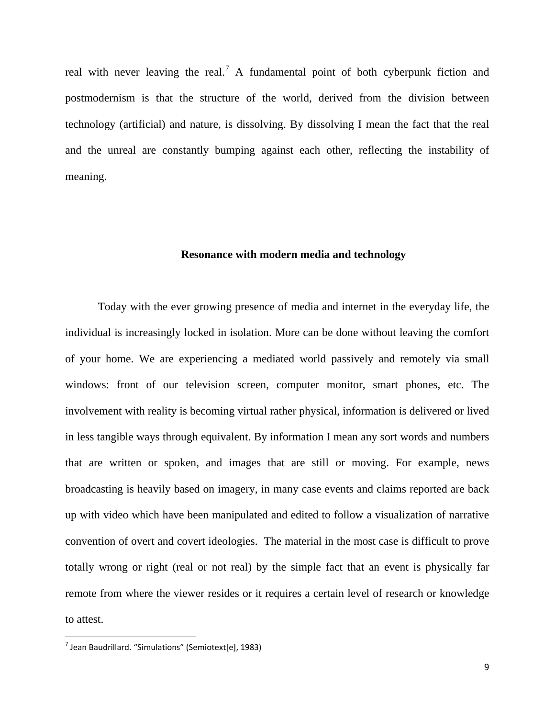real with never leaving the real.<sup>[7](#page-8-0)</sup> A fundamental point of both cyberpunk fiction and postmodernism is that the structure of the world, derived from the division between technology (artificial) and nature, is dissolving. By dissolving I mean the fact that the real and the unreal are constantly bumping against each other, reflecting the instability of meaning.

### **Resonance with modern media and technology**

Today with the ever growing presence of media and internet in the everyday life, the individual is increasingly locked in isolation. More can be done without leaving the comfort of your home. We are experiencing a mediated world passively and remotely via small windows: front of our television screen, computer monitor, smart phones, etc. The involvement with reality is becoming virtual rather physical, information is delivered or lived in less tangible ways through equivalent. By information I mean any sort words and numbers that are written or spoken, and images that are still or moving. For example, news broadcasting is heavily based on imagery, in many case events and claims reported are back up with video which have been manipulated and edited to follow a visualization of narrative convention of overt and covert ideologies. The material in the most case is difficult to prove totally wrong or right (real or not real) by the simple fact that an event is physically far remote from where the viewer resides or it requires a certain level of research or knowledge to attest.

<span id="page-8-0"></span> $<sup>7</sup>$  Jean Baudrillard. "Simulations" (Semiotext[e], 1983)</sup>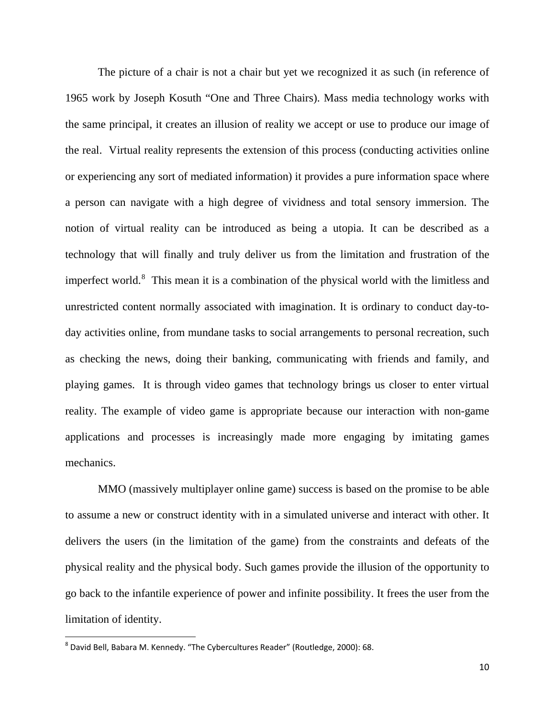The picture of a chair is not a chair but yet we recognized it as such (in reference of 1965 work by Joseph Kosuth "One and Three Chairs). Mass media technology works with the same principal, it creates an illusion of reality we accept or use to produce our image of the real. Virtual reality represents the extension of this process (conducting activities online or experiencing any sort of mediated information) it provides a pure information space where a person can navigate with a high degree of vividness and total sensory immersion. The notion of virtual reality can be introduced as being a utopia. It can be described as a technology that will finally and truly deliver us from the limitation and frustration of the imperfect world.<sup>[8](#page-9-0)</sup> This mean it is a combination of the physical world with the limitless and unrestricted content normally associated with imagination. It is ordinary to conduct day-today activities online, from mundane tasks to social arrangements to personal recreation, such as checking the news, doing their banking, communicating with friends and family, and playing games. It is through video games that technology brings us closer to enter virtual reality. The example of video game is appropriate because our interaction with non-game applications and processes is increasingly made more engaging by imitating games mechanics.

MMO (massively multiplayer online game) success is based on the promise to be able to assume a new or construct identity with in a simulated universe and interact with other. It delivers the users (in the limitation of the game) from the constraints and defeats of the physical reality and the physical body. Such games provide the illusion of the opportunity to go back to the infantile experience of power and infinite possibility. It frees the user from the limitation of identity.

<span id="page-9-0"></span> <sup>8</sup> David Bell, Babara M. Kennedy. "The Cybercultures Reader" (Routledge, 2000): 68.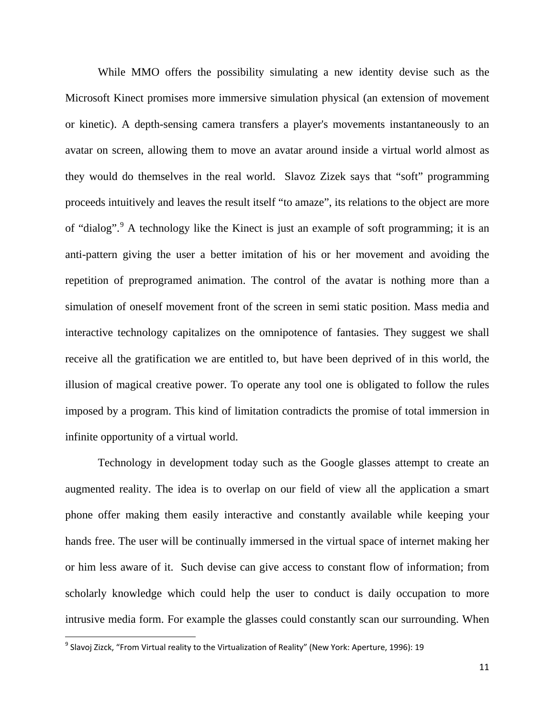While MMO offers the possibility simulating a new identity devise such as the Microsoft Kinect promises more immersive simulation physical (an extension of movement or kinetic). A depth-sensing camera transfers a player's movements instantaneously to an avatar on screen, allowing them to move an avatar around inside a virtual world almost as they would do themselves in the real world. Slavoz Zizek says that "soft" programming proceeds intuitively and leaves the result itself "to amaze", its relations to the object are more of "dialog".<sup>[9](#page-10-0)</sup> A technology like the Kinect is just an example of soft programming; it is an anti-pattern giving the user a better imitation of his or her movement and avoiding the repetition of preprogramed animation. The control of the avatar is nothing more than a simulation of oneself movement front of the screen in semi static position. Mass media and interactive technology capitalizes on the omnipotence of fantasies. They suggest we shall receive all the gratification we are entitled to, but have been deprived of in this world, the illusion of magical creative power. To operate any tool one is obligated to follow the rules imposed by a program. This kind of limitation contradicts the promise of total immersion in infinite opportunity of a virtual world.

Technology in development today such as the Google glasses attempt to create an augmented reality. The idea is to overlap on our field of view all the application a smart phone offer making them easily interactive and constantly available while keeping your hands free. The user will be continually immersed in the virtual space of internet making her or him less aware of it. Such devise can give access to constant flow of information; from scholarly knowledge which could help the user to conduct is daily occupation to more intrusive media form. For example the glasses could constantly scan our surrounding. When

<span id="page-10-0"></span> <sup>9</sup> Slavoj Zizck, "From Virtual reality to the Virtualization of Reality" (New York: Aperture, 1996): 19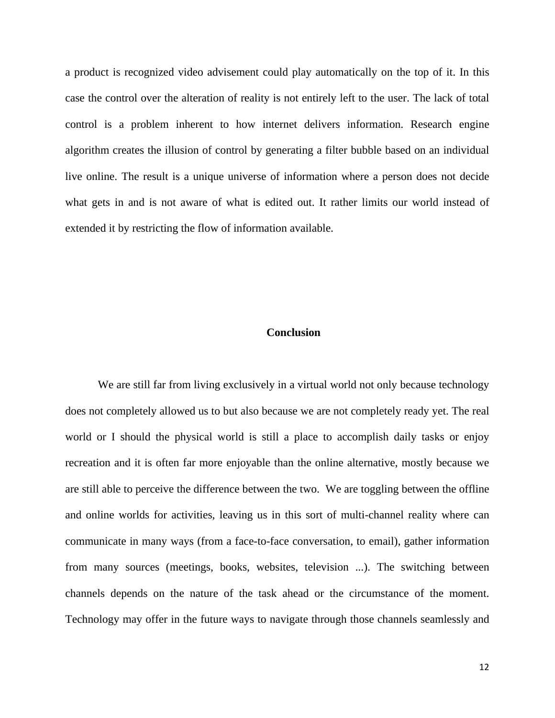a product is recognized video advisement could play automatically on the top of it. In this case the control over the alteration of reality is not entirely left to the user. The lack of total control is a problem inherent to how internet delivers information. Research engine algorithm creates the illusion of control by generating a filter bubble based on an individual live online. The result is a unique universe of information where a person does not decide what gets in and is not aware of what is edited out. It rather limits our world instead of extended it by restricting the flow of information available.

## **Conclusion**

We are still far from living exclusively in a virtual world not only because technology does not completely allowed us to but also because we are not completely ready yet. The real world or I should the physical world is still a place to accomplish daily tasks or enjoy recreation and it is often far more enjoyable than the online alternative, mostly because we are still able to perceive the difference between the two. We are toggling between the offline and online worlds for activities, leaving us in this sort of multi-channel reality where can communicate in many ways (from a face-to-face conversation, to email), gather information from many sources (meetings, books, websites, television ...). The switching between channels depends on the nature of the task ahead or the circumstance of the moment. Technology may offer in the future ways to navigate through those channels seamlessly and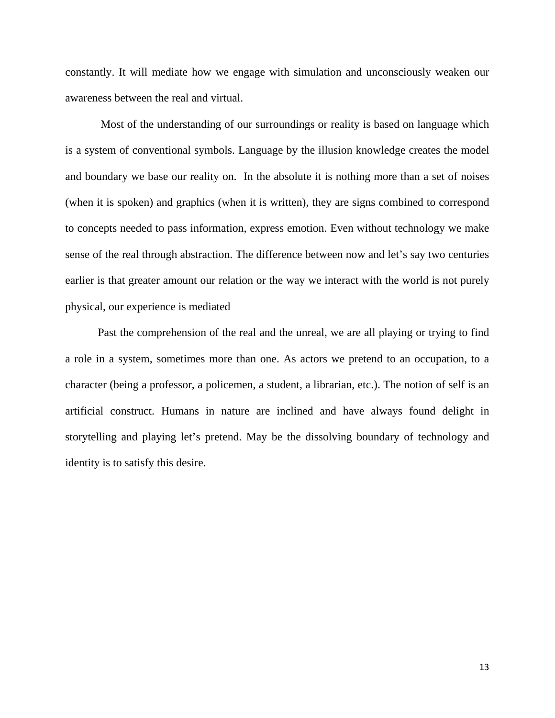constantly. It will mediate how we engage with simulation and unconsciously weaken our awareness between the real and virtual.

Most of the understanding of our surroundings or reality is based on language which is a system of conventional symbols. Language by the illusion knowledge creates the model and boundary we base our reality on. In the absolute it is nothing more than a set of noises (when it is spoken) and graphics (when it is written), they are signs combined to correspond to concepts needed to pass information, express emotion. Even without technology we make sense of the real through abstraction. The difference between now and let's say two centuries earlier is that greater amount our relation or the way we interact with the world is not purely physical, our experience is mediated

Past the comprehension of the real and the unreal, we are all playing or trying to find a role in a system, sometimes more than one. As actors we pretend to an occupation, to a character (being a professor, a policemen, a student, a librarian, etc.). The notion of self is an artificial construct. Humans in nature are inclined and have always found delight in storytelling and playing let's pretend. May be the dissolving boundary of technology and identity is to satisfy this desire.